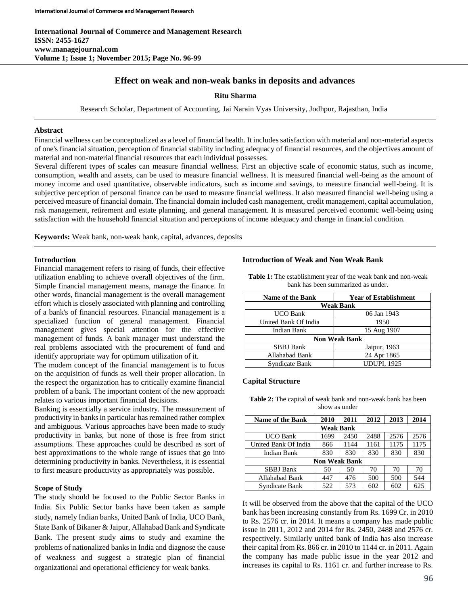**International Journal of Commerce and Management Research ISSN: 2455-1627 www.managejournal.com Volume 1; Issue 1; November 2015; Page No. 96-99**

# **Effect on weak and non-weak banks in deposits and advances**

**Ritu Sharma**

Research Scholar, Department of Accounting, Jai Narain Vyas University, Jodhpur, Rajasthan, India

### **Abstract**

Financial wellness can be conceptualized as a level of financial health. It includes satisfaction with material and non-material aspects of one's financial situation, perception of financial stability including adequacy of financial resources, and the objectives amount of material and non-material financial resources that each individual possesses.

Several different types of scales can measure financial wellness. First an objective scale of economic status, such as income, consumption, wealth and assets, can be used to measure financial wellness. It is measured financial well-being as the amount of money income and used quantitative, observable indicators, such as income and savings, to measure financial well-being. It is subjective perception of personal finance can be used to measure financial wellness. It also measured financial well-being using a perceived measure of financial domain. The financial domain included cash management, credit management, capital accumulation, risk management, retirement and estate planning, and general management. It is measured perceived economic well-being using satisfaction with the household financial situation and perceptions of income adequacy and change in financial condition.

**Keywords:** Weak bank, non-weak bank, capital, advances, deposits

#### **Introduction**

Financial management refers to rising of funds, their effective utilization enabling to achieve overall objectives of the firm. Simple financial management means, manage the finance. In other words, financial management is the overall management effort which is closely associated with planning and controlling of a bank's of financial resources. Financial management is a specialized function of general management. Financial management gives special attention for the effective management of funds. A bank manager must understand the real problems associated with the procurement of fund and identify appropriate way for optimum utilization of it.

The modem concept of the financial management is to focus on the acquisition of funds as well their proper allocation. In the respect the organization has to critically examine financial problem of a bank. The important content of the new approach relates to various important financial decisions.

Banking is essentially a service industry. The measurement of productivity in banks in particular has remained rather complex and ambiguous. Various approaches have been made to study productivity in banks, but none of those is free from strict assumptions. These approaches could be described as sort of best approximations to the whole range of issues that go into determining productivity in banks. Nevertheless, it is essential to first measure productivity as appropriately was possible.

### **Scope of Study**

The study should be focused to the Public Sector Banks in India. Six Public Sector banks have been taken as sample study, namely Indian banks, United Bank of India, UCO Bank, State Bank of Bikaner & Jaipur, Allahabad Bank and Syndicate Bank. The present study aims to study and examine the problems of nationalized banks in India and diagnose the cause of weakness and suggest a strategic plan of financial organizational and operational efficiency for weak banks.

#### **Introduction of Weak and Non Weak Bank**

| <b>Name of the Bank</b> | <b>Year of Establishment</b> |  |  |  |  |
|-------------------------|------------------------------|--|--|--|--|
| <b>Weak Bank</b>        |                              |  |  |  |  |
| <b>UCO Bank</b>         | 06 Jan 1943                  |  |  |  |  |
| United Bank Of India    | 1950                         |  |  |  |  |
| Indian Bank             | 15 Aug 1907                  |  |  |  |  |
| <b>Non Weak Bank</b>    |                              |  |  |  |  |
| <b>SBBJ</b> Bank        | Jaipur, 1963                 |  |  |  |  |
| Allahabad Bank          | 24 Apr 1865                  |  |  |  |  |
| Syndicate Bank          | <b>UDUPI, 1925</b>           |  |  |  |  |

**Table 1:** The establishment year of the weak bank and non-weak bank has been summarized as under.

# **Capital Structure**

**Table 2:** The capital of weak bank and non-weak bank has been show as under

| <b>Name of the Bank</b>                                 | 2010 | 2011 | 2012 | 2013 | 2014 |  |  |  |
|---------------------------------------------------------|------|------|------|------|------|--|--|--|
| <b>Weak Bank</b>                                        |      |      |      |      |      |  |  |  |
| 2488<br>2576<br>1699<br>2576<br><b>UCO Bank</b><br>2450 |      |      |      |      |      |  |  |  |
| United Bank Of India                                    | 866  | 1144 | 1161 | 1175 | 1175 |  |  |  |
| <b>Indian Bank</b>                                      | 830  | 830  | 830  | 830  | 830  |  |  |  |
| <b>Non Weak Bank</b>                                    |      |      |      |      |      |  |  |  |
| <b>SBBJ</b> Bank                                        | 50   | 50   | 70   | 70   | 70   |  |  |  |
| Allahabad Bank                                          | 447  | 476  | 500  | 500  | 544  |  |  |  |
| Syndicate Bank                                          | 522  | 573  | 602  | 602  | 625  |  |  |  |

It will be observed from the above that the capital of the UCO bank has been increasing constantly from Rs. 1699 Cr. in 2010 to Rs. 2576 cr. in 2014. It means a company has made public issue in 2011, 2012 and 2014 for Rs. 2450, 2488 and 2576 cr. respectively. Similarly united bank of India has also increase their capital from Rs. 866 cr. in 2010 to 1144 cr. in 2011. Again the company has made public issue in the year 2012 and increases its capital to Rs. 1161 cr. and further increase to Rs.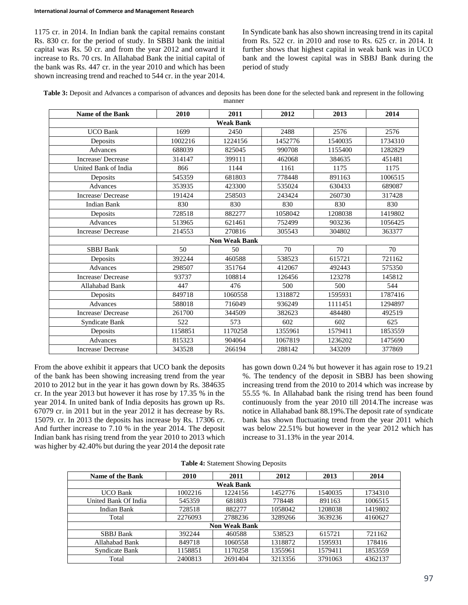1175 cr. in 2014. In Indian bank the capital remains constant Rs. 830 cr. for the period of study. In SBBJ bank the initial capital was Rs. 50 cr. and from the year 2012 and onward it increase to Rs. 70 crs. In Allahabad Bank the initial capital of the bank was Rs. 447 cr. in the year 2010 and which has been shown increasing trend and reached to 544 cr. in the year 2014.

In Syndicate bank has also shown increasing trend in its capital from Rs. 522 cr. in 2010 and rose to Rs. 625 cr. in 2014. It further shows that highest capital in weak bank was in UCO bank and the lowest capital was in SBBJ Bank during the period of study

|  | Table 3: Deposit and Advances a comparison of advances and deposits has been done for the selected bank and represent in the following |
|--|----------------------------------------------------------------------------------------------------------------------------------------|
|  |                                                                                                                                        |

|                                      |                      |         |         | 2014    |  |  |
|--------------------------------------|----------------------|---------|---------|---------|--|--|
| Name of the Bank<br><b>Weak Bank</b> |                      |         |         |         |  |  |
| 1699                                 | 2450                 | 2488    | 2576    | 2576    |  |  |
| 1002216                              | 1224156              | 1452776 | 1540035 | 1734310 |  |  |
| 688039                               | 825045               | 990708  | 1155400 | 1282829 |  |  |
| 314147                               | 399111               | 462068  | 384635  | 451481  |  |  |
| 866                                  | 1144                 | 1161    | 1175    | 1175    |  |  |
| 545359                               | 681803               | 778448  | 891163  | 1006515 |  |  |
| 353935                               | 423300               | 535024  | 630433  | 689087  |  |  |
| 191424                               | 258503               | 243424  | 260730  | 317428  |  |  |
| 830                                  | 830                  | 830     | 830     | 830     |  |  |
| 728518                               | 882277               | 1058042 | 1208038 | 1419802 |  |  |
| 513965                               | 621461               | 752499  | 903236  | 1056425 |  |  |
| 214553                               | 270816               | 305543  | 304802  | 363377  |  |  |
|                                      | <b>Non Weak Bank</b> |         |         |         |  |  |
| 50                                   | 50                   | 70      | 70      | 70      |  |  |
| 392244                               | 460588               | 538523  | 615721  | 721162  |  |  |
| 298507                               | 351764               | 412067  | 492443  | 575350  |  |  |
| 93737                                | 108814               | 126456  | 123278  | 145812  |  |  |
| 447                                  | 476                  | 500     | 500     | 544     |  |  |
| 849718                               | 1060558              | 1318872 | 1595931 | 1787416 |  |  |
| 588018                               | 716049               | 936249  | 1111451 | 1294897 |  |  |
| 261700                               | 344509               | 382623  | 484480  | 492519  |  |  |
| 522                                  | 573                  | 602     | 602     | 625     |  |  |
| 1158851                              | 1170258              | 1355961 | 1579411 | 1853559 |  |  |
| 815323                               | 904064               | 1067819 | 1236202 | 1475690 |  |  |
| 343528                               | 266194               | 288142  | 343209  | 377869  |  |  |
|                                      | 2010                 | 2011    | 2012    | 2013    |  |  |

From the above exhibit it appears that UCO bank the deposits of the bank has been showing increasing trend from the year 2010 to 2012 but in the year it has gown down by Rs. 384635 cr. In the year 2013 but however it has rose by 17.35 % in the year 2014. In united bank of India deposits has grown up Rs. 67079 cr. in 2011 but in the year 2012 it has decrease by Rs. 15079. cr. In 2013 the deposits has increase by Rs. 17306 cr. And further increase to 7.10 % in the year 2014. The deposit Indian bank has rising trend from the year 2010 to 2013 which was higher by 42.40% but during the year 2014 the deposit rate has gown down 0.24 % but however it has again rose to 19.21 %. The tendency of the deposit in SBBJ has been showing increasing trend from the 2010 to 2014 which was increase by 55.55 %. In Allahabad bank the rising trend has been found continuously from the year 2010 till 2014.The increase was notice in Allahabad bank 88.19%.The deposit rate of syndicate bank has shown fluctuating trend from the year 2011 which was below 22.51% but however in the year 2012 which has increase to 31.13% in the year 2014.

| Table 4: Statement Showing Deposits |  |  |  |  |
|-------------------------------------|--|--|--|--|
|-------------------------------------|--|--|--|--|

| <b>Name of the Bank</b> | 2010    | 2011    | 2012    | 2013    | 2014    |  |  |
|-------------------------|---------|---------|---------|---------|---------|--|--|
| Weak Bank               |         |         |         |         |         |  |  |
| <b>UCO Bank</b>         | 1002216 | 1224156 | 1452776 | 1540035 | 1734310 |  |  |
| United Bank Of India    | 545359  | 681803  | 778448  | 891163  | 1006515 |  |  |
| Indian Bank             | 728518  | 882277  | 1058042 | 1208038 | 1419802 |  |  |
| Total                   | 2276093 | 2788236 | 3289266 | 3639236 | 4160627 |  |  |
| <b>Non Weak Bank</b>    |         |         |         |         |         |  |  |
| <b>SBBJ</b> Bank        | 392244  | 460588  | 538523  | 615721  | 721162  |  |  |
| Allahabad Bank          | 849718  | 1060558 | 1318872 | 1595931 | 178416  |  |  |
| Syndicate Bank          | 1158851 | 1170258 | 1355961 | 1579411 | 1853559 |  |  |
| Total                   | 2400813 | 2691404 | 3213356 | 3791063 | 4362137 |  |  |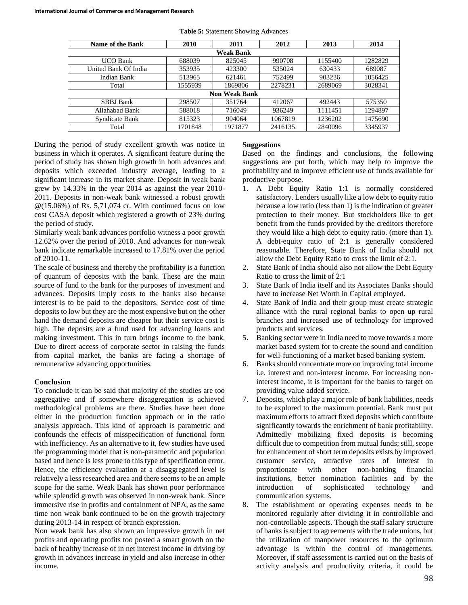| Name of the Bank     | 2010    | 2011    | 2012    | 2013    | 2014    |  |  |
|----------------------|---------|---------|---------|---------|---------|--|--|
| <b>Weak Bank</b>     |         |         |         |         |         |  |  |
| <b>UCO Bank</b>      | 688039  | 825045  | 990708  | 1155400 | 1282829 |  |  |
| United Bank Of India | 353935  | 423300  | 535024  | 630433  | 689087  |  |  |
| Indian Bank          | 513965  | 621461  | 752499  | 903236  | 1056425 |  |  |
| Total                | 1555939 | 1869806 | 2278231 | 2689069 | 3028341 |  |  |
| <b>Non Weak Bank</b> |         |         |         |         |         |  |  |
| <b>SBBJ</b> Bank     | 298507  | 351764  | 412067  | 492443  | 575350  |  |  |
| Allahabad Bank       | 588018  | 716049  | 936249  | 1111451 | 1294897 |  |  |
| Syndicate Bank       | 815323  | 904064  | 1067819 | 1236202 | 1475690 |  |  |
| Total                | 1701848 | 1971877 | 2416135 | 2840096 | 3345937 |  |  |

**Table 5:** Statement Showing Advances

During the period of study excellent growth was notice in business in which it operates. A significant feature during the period of study has shown high growth in both advances and deposits which exceeded industry average, leading to a significant increase in its market share. Deposit in weak bank grew by 14.33% in the year 2014 as against the year 2010- 2011. Deposits in non-weak bank witnessed a robust growth  $\mathcal{Q}(15.06\%)$  of Rs. 5,71,074 cr. With continued focus on low cost CASA deposit which registered a growth of 23% during the period of study.

Similarly weak bank advances portfolio witness a poor growth 12.62% over the period of 2010. And advances for non-weak bank indicate remarkable increased to 17.81% over the period of 2010-11.

The scale of business and thereby the profitability is a function of quantum of deposits with the bank. These are the main source of fund to the bank for the purposes of investment and advances. Deposits imply costs to the banks also because interest is to be paid to the depositors. Service cost of time deposits to low but they are the most expensive but on the other hand the demand deposits are cheaper but their service cost is high. The deposits are a fund used for advancing loans and making investment. This in turn brings income to the bank. Due to direct access of corporate sector in raising the funds from capital market, the banks are facing a shortage of remunerative advancing opportunities.

# **Conclusion**

To conclude it can be said that majority of the studies are too aggregative and if somewhere disaggregation is achieved methodological problems are there. Studies have been done either in the production function approach or in the ratio analysis approach. This kind of approach is parametric and confounds the effects of misspecification of functional form with inefficiency. As an alternative to it, few studies have used the programming model that is non-parametric and population based and hence is less prone to this type of specification error. Hence, the efficiency evaluation at a disaggregated level is relatively a less researched area and there seems to be an ample scope for the same. Weak Bank has shown poor performance while splendid growth was observed in non-weak bank. Since immersive rise in profits and containment of NPA, as the same time non weak bank continued to be on the growth trajectory during 2013-14 in respect of branch expression.

Non weak bank has also shown an impressive growth in net profits and operating profits too posted a smart growth on the back of healthy increase of in net interest income in driving by growth in advances increase in yield and also increase in other income.

# **Suggestions**

Based on the findings and conclusions, the following suggestions are put forth, which may help to improve the profitability and to improve efficient use of funds available for productive purpose.

- 1. A Debt Equity Ratio 1:1 is normally considered satisfactory. Lenders usually like a low debt to equity ratio because a low ratio (less than 1) is the indication of greater protection to their money. But stockholders like to get benefit from the funds provided by the creditors therefore they would like a high debt to equity ratio. (more than 1). A debt-equity ratio of 2:1 is generally considered reasonable. Therefore, State Bank of India should not allow the Debt Equity Ratio to cross the limit of 2:1.
- 2. State Bank of India should also not allow the Debt Equity Ratio to cross the limit of 2:1
- 3. State Bank of India itself and its Associates Banks should have to increase Net Worth in Capital employed.
- 4. State Bank of India and their group must create strategic alliance with the rural regional banks to open up rural branches and increased use of technology for improved products and services.
- 5. Banking sector were in India need to move towards a more market based system for to create the sound and condition for well-functioning of a market based banking system.
- 6. Banks should concentrate more on improving total income i.e. interest and non-interest income. For increasing noninterest income, it is important for the banks to target on providing value added service.
- 7. Deposits, which play a major role of bank liabilities, needs to be explored to the maximum potential. Bank must put maximum efforts to attract fixed deposits which contribute significantly towards the enrichment of bank profitability. Admittedly mobilizing fixed deposits is becoming difficult due to competition from mutual funds; still, scope for enhancement of short term deposits exists by improved customer service, attractive rates of interest in proportionate with other non-banking financial institutions, better nomination facilities and by the introduction of sophisticated technology and communication systems.
- 8. The establishment or operating expenses needs to be monitored regularly after dividing it in controllable and non-controllable aspects. Though the staff salary structure of banks is subject to agreements with the trade unions, but the utilization of manpower resources to the optimum advantage is within the control of managements. Moreover, if staff assessment is carried out on the basis of activity analysis and productivity criteria, it could be